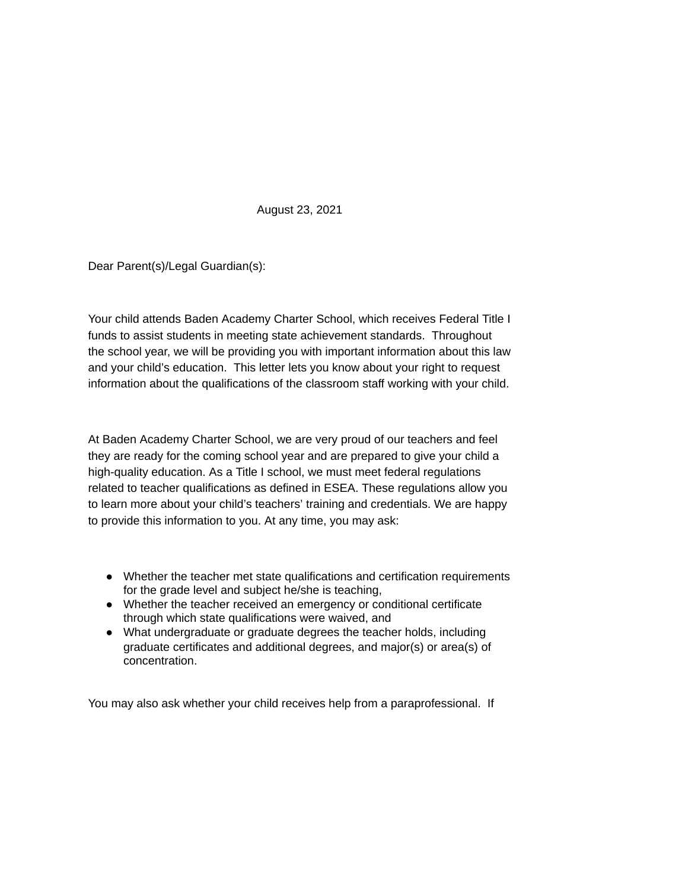August 23, 2021

Dear Parent(s)/Legal Guardian(s):

Your child attends Baden Academy Charter School, which receives Federal Title I funds to assist students in meeting state achievement standards. Throughout the school year, we will be providing you with important information about this law and your child's education. This letter lets you know about your right to request information about the qualifications of the classroom staff working with your child.

At Baden Academy Charter School, we are very proud of our teachers and feel they are ready for the coming school year and are prepared to give your child a high-quality education. As a Title I school, we must meet federal regulations related to teacher qualifications as defined in ESEA. These regulations allow you to learn more about your child's teachers' training and credentials. We are happy to provide this information to you. At any time, you may ask:

- Whether the teacher met state qualifications and certification requirements for the grade level and subject he/she is teaching,
- Whether the teacher received an emergency or conditional certificate through which state qualifications were waived, and
- What undergraduate or graduate degrees the teacher holds, including graduate certificates and additional degrees, and major(s) or area(s) of concentration.

You may also ask whether your child receives help from a paraprofessional. If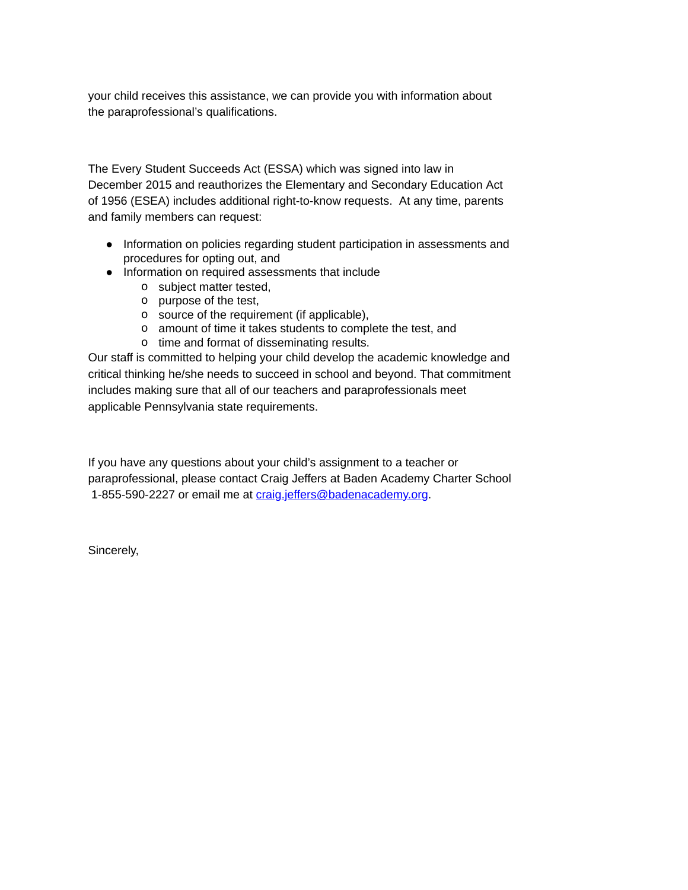your child receives this assistance, we can provide you with information about the paraprofessional's qualifications.

The Every Student Succeeds Act (ESSA) which was signed into law in December 2015 and reauthorizes the Elementary and Secondary Education Act of 1956 (ESEA) includes additional right-to-know requests. At any time, parents and family members can request:

- Information on policies regarding student participation in assessments and procedures for opting out, and
- Information on required assessments that include
	- o subject matter tested,
	- o purpose of the test,
	- o source of the requirement (if applicable),
	- o amount of time it takes students to complete the test, and
	- o time and format of disseminating results.

Our staff is committed to helping your child develop the academic knowledge and critical thinking he/she needs to succeed in school and beyond. That commitment includes making sure that all of our teachers and paraprofessionals meet applicable Pennsylvania state requirements.

If you have any questions about your child's assignment to a teacher or paraprofessional, please contact Craig Jeffers at Baden Academy Charter School 1-855-590-2227 or email me at [craig.jeffers@badenacademy.org](mailto:craig.jeffers@badenacademy.org).

Sincerely,